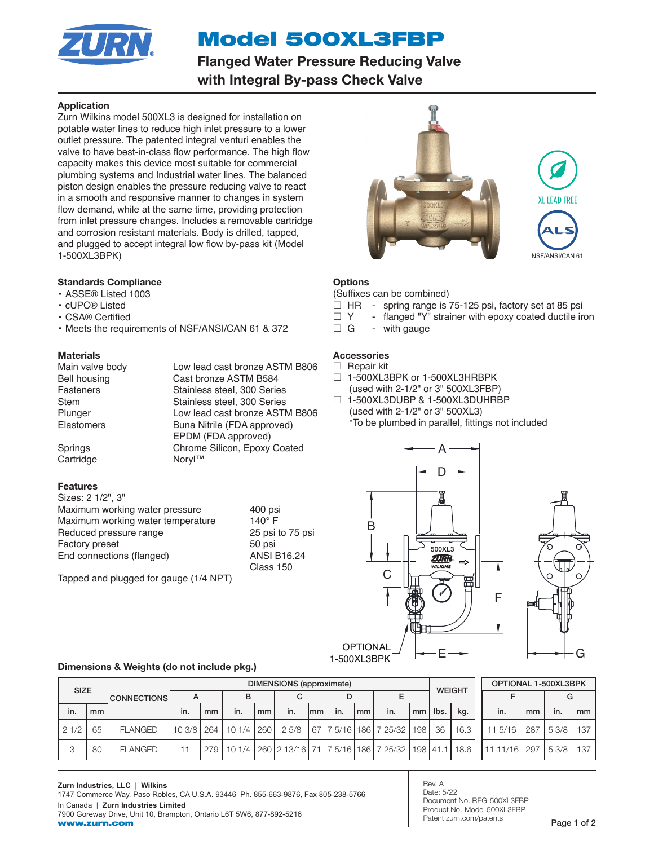

# Model 500XL3FBP

Flanged Water Pressure Reducing Valve with Integral By-pass Check Valve

# Application

Zurn Wilkins model 500XL3 is designed for installation on potable water lines to reduce high inlet pressure to a lower outlet pressure. The patented integral venturi enables the valve to have best-in-class flow performance. The high flow capacity makes this device most suitable for commercial plumbing systems and Industrial water lines. The balanced piston design enables the pressure reducing valve to react in a smooth and responsive manner to changes in system flow demand, while at the same time, providing protection from inlet pressure changes. Includes a removable cartridge and corrosion resistant materials. Body is drilled, tapped, and plugged to accept integral low flow by-pass kit (Model 1-500XL3BPK)

# Standards Compliance

### • ASSE® Listed 1003

- cUPC® Listed
- CSA® Certified
- Meets the requirements of NSF/ANSI/CAN 61 & 372

# **Materials**

Main valve body **Low lead cast bronze ASTM B806** Bell housing Cast bronze ASTM B584 Fasteners Stainless steel, 300 Series Stem Stainless steel, 300 Series Plunger Low lead cast bronze ASTM B806 Elastomers Buna Nitrile (FDA approved) EPDM (FDA approved) Springs Chrome Silicon, Epoxy Coated

Cartridge Noryl™

# Features

Sizes: 2 1/2", 3" Maximum working water pressure 400 psi Maximum working water temperature 140° F Reduced pressure range 25 psi to 75 psi Factory preset 50 psi End connections (flanged) ANSI B16.24

Tapped and plugged for gauge (1/4 NPT)

Class 150



# **Options**

#### (Suffixes can be combined)

- $\Box$  HR spring range is 75-125 psi, factory set at 85 psi
- $\Box$  Y flanged "Y" strainer with epoxy coated ductile iron  $\Box$  G with gauge
- with gauge

# **Accessories**

- $\Box$  Repair kit
- □ 1-500XL3BPK or 1-500XL3HRBPK (used with 2-1/2" or 3" 500XL3FBP)
- □ 1-500XL3DUBP & 1-500XL3DUHRBP (used with 2-1/2" or 3" 500XL3) \*To be plumbed in parallel, fittings not included



1-500XL3BPK

# Dimensions & Weights (do not include pkg.)

| <b>SIZE</b> |    | <b>CONNECTIONS</b> | DIMENSIONS (approximate) |    |                       |    |       |      |     |    |                                                                                |                  | <b>WEIGHT</b> |      | OPTIONAL 1-500XL3BPK |     |       |     |
|-------------|----|--------------------|--------------------------|----|-----------------------|----|-------|------|-----|----|--------------------------------------------------------------------------------|------------------|---------------|------|----------------------|-----|-------|-----|
|             |    |                    | A                        |    | в                     |    |       |      | D   |    |                                                                                |                  |               |      |                      |     |       |     |
| in.         | mm |                    | in.                      | mm | in.                   | mm | in.   | Imml | in. | mm | in.                                                                            | mm               | lbs.          | kg.  | in.                  | mm  | in.   | mm  |
| 21/2        | 65 | <b>FLANGED</b>     |                          |    | 10 3/8 264 10 1/4 260 |    | 2.5/8 |      |     |    | 67   7 5/16   186   7 25/32                                                    | 198 <sup>1</sup> | 36            | 16.3 | 11 5/16              | 287 | 53/8  | 137 |
| 3           | 80 | <b>FLANGED</b>     |                          |    |                       |    |       |      |     |    | 279   10 1/4   260   2 13/16   71   7 5/16   186   7 25/32   198   41.1   18.6 |                  |               |      | $1111/16$ 297        |     | 5.3/8 | 137 |

Rev. A Date: 5/22 Document No. REG-500XL3FBP Product No. Model 500XL3FBP Patent zurn.com/patents